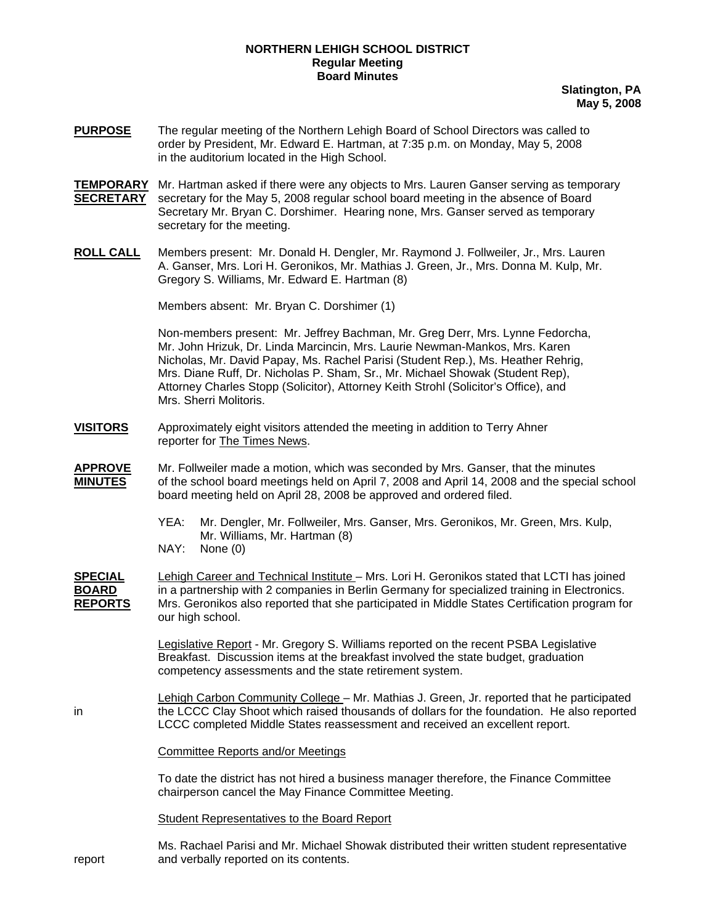## **NORTHERN LEHIGH SCHOOL DISTRICT Regular Meeting Board Minutes**

**Slatington, PA May 5, 2008**

- **PURPOSE** The regular meeting of the Northern Lehigh Board of School Directors was called to order by President, Mr. Edward E. Hartman, at 7:35 p.m. on Monday, May 5, 2008 in the auditorium located in the High School.
- **TEMPORARY** Mr. Hartman asked if there were any objects to Mrs. Lauren Ganser serving as temporary **SECRETARY** secretary for the May 5, 2008 regular school board meeting in the absence of Board Secretary Mr. Bryan C. Dorshimer. Hearing none, Mrs. Ganser served as temporary secretary for the meeting.
- **ROLL CALL** Members present: Mr. Donald H. Dengler, Mr. Raymond J. Follweiler, Jr., Mrs. Lauren A. Ganser, Mrs. Lori H. Geronikos, Mr. Mathias J. Green, Jr., Mrs. Donna M. Kulp, Mr. Gregory S. Williams, Mr. Edward E. Hartman (8)

Members absent: Mr. Bryan C. Dorshimer (1)

Non-members present: Mr. Jeffrey Bachman, Mr. Greg Derr, Mrs. Lynne Fedorcha, Mr. John Hrizuk, Dr. Linda Marcincin, Mrs. Laurie Newman-Mankos, Mrs. Karen Nicholas, Mr. David Papay, Ms. Rachel Parisi (Student Rep.), Ms. Heather Rehrig, Mrs. Diane Ruff, Dr. Nicholas P. Sham, Sr., Mr. Michael Showak (Student Rep), Attorney Charles Stopp (Solicitor), Attorney Keith Strohl (Solicitor's Office), and Mrs. Sherri Molitoris.

- **VISITORS** Approximately eight visitors attended the meeting in addition to Terry Ahner reporter for The Times News.
- **APPROVE** Mr. Follweiler made a motion, which was seconded by Mrs. Ganser, that the minutes **MINUTES** of the school board meetings held on April 7, 2008 and April 14, 2008 and the special school board meeting held on April 28, 2008 be approved and ordered filed.
	- YEA: Mr. Dengler, Mr. Follweiler, Mrs. Ganser, Mrs. Geronikos, Mr. Green, Mrs. Kulp, Mr. Williams, Mr. Hartman (8)
	- NAY: None (0)
- **SPECIAL** Lehigh Career and Technical Institute Mrs. Lori H. Geronikos stated that LCTI has joined **BOARD** in a partnership with 2 companies in Berlin Germany for specialized training in Electronics. **REPORTS** Mrs. Geronikos also reported that she participated in Middle States Certification program for our high school.

 Legislative Report - Mr. Gregory S. Williams reported on the recent PSBA Legislative Breakfast. Discussion items at the breakfast involved the state budget, graduation competency assessments and the state retirement system.

 Lehigh Carbon Community College – Mr. Mathias J. Green, Jr. reported that he participated in the LCCC Clay Shoot which raised thousands of dollars for the foundation. He also reported LCCC completed Middle States reassessment and received an excellent report.

Committee Reports and/or Meetings

 To date the district has not hired a business manager therefore, the Finance Committee chairperson cancel the May Finance Committee Meeting.

Student Representatives to the Board Report

Ms. Rachael Parisi and Mr. Michael Showak distributed their written student representative report and verbally reported on its contents.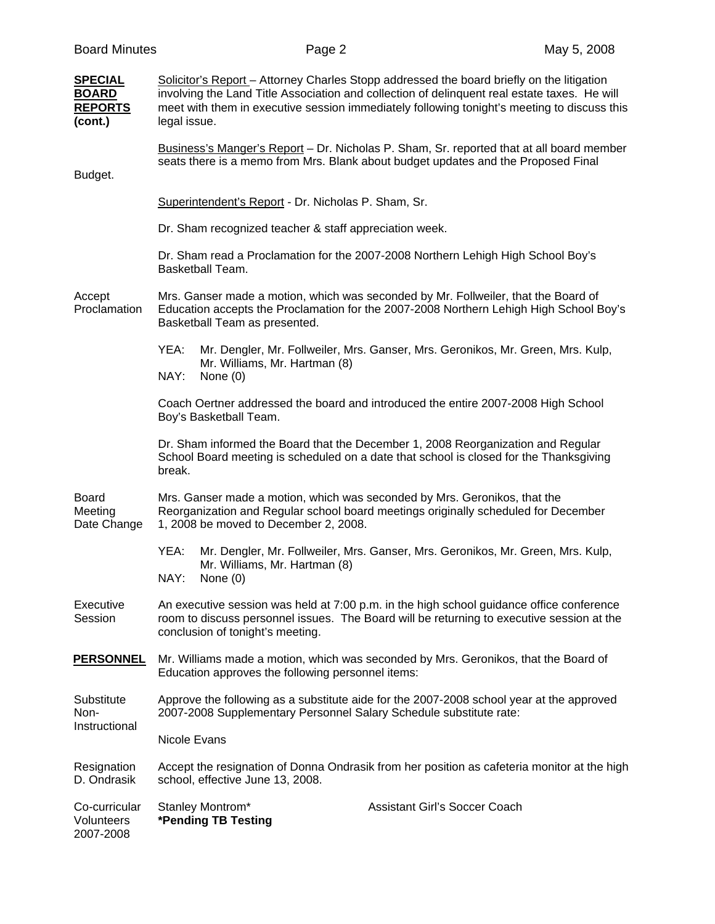| <b>SPECIAL</b><br><b>BOARD</b><br><b>REPORTS</b><br>(cont.) | Solicitor's Report – Attorney Charles Stopp addressed the board briefly on the litigation<br>involving the Land Title Association and collection of delinquent real estate taxes. He will<br>meet with them in executive session immediately following tonight's meeting to discuss this<br>legal issue. |  |  |  |  |
|-------------------------------------------------------------|----------------------------------------------------------------------------------------------------------------------------------------------------------------------------------------------------------------------------------------------------------------------------------------------------------|--|--|--|--|
| Budget.                                                     | Business's Manger's Report - Dr. Nicholas P. Sham, Sr. reported that at all board member<br>seats there is a memo from Mrs. Blank about budget updates and the Proposed Final                                                                                                                            |  |  |  |  |
|                                                             | Superintendent's Report - Dr. Nicholas P. Sham, Sr.                                                                                                                                                                                                                                                      |  |  |  |  |
|                                                             | Dr. Sham recognized teacher & staff appreciation week.                                                                                                                                                                                                                                                   |  |  |  |  |
|                                                             | Dr. Sham read a Proclamation for the 2007-2008 Northern Lehigh High School Boy's<br>Basketball Team.                                                                                                                                                                                                     |  |  |  |  |
| Accept<br>Proclamation                                      | Mrs. Ganser made a motion, which was seconded by Mr. Follweiler, that the Board of<br>Education accepts the Proclamation for the 2007-2008 Northern Lehigh High School Boy's<br>Basketball Team as presented.                                                                                            |  |  |  |  |
|                                                             | YEA:<br>Mr. Dengler, Mr. Follweiler, Mrs. Ganser, Mrs. Geronikos, Mr. Green, Mrs. Kulp,<br>Mr. Williams, Mr. Hartman (8)<br>NAY:<br>None $(0)$                                                                                                                                                           |  |  |  |  |
|                                                             | Coach Oertner addressed the board and introduced the entire 2007-2008 High School<br>Boy's Basketball Team.                                                                                                                                                                                              |  |  |  |  |
|                                                             | Dr. Sham informed the Board that the December 1, 2008 Reorganization and Regular<br>School Board meeting is scheduled on a date that school is closed for the Thanksgiving<br>break.                                                                                                                     |  |  |  |  |
| <b>Board</b><br>Meeting<br>Date Change                      | Mrs. Ganser made a motion, which was seconded by Mrs. Geronikos, that the<br>Reorganization and Regular school board meetings originally scheduled for December<br>1, 2008 be moved to December 2, 2008.                                                                                                 |  |  |  |  |
|                                                             | YEA:<br>Mr. Dengler, Mr. Follweiler, Mrs. Ganser, Mrs. Geronikos, Mr. Green, Mrs. Kulp,<br>Mr. Williams, Mr. Hartman (8)<br>NAY:<br>None $(0)$                                                                                                                                                           |  |  |  |  |
| Executive<br>Session                                        | An executive session was held at 7:00 p.m. in the high school guidance office conference<br>room to discuss personnel issues. The Board will be returning to executive session at the<br>conclusion of tonight's meeting.                                                                                |  |  |  |  |
| <b>PERSONNEL</b>                                            | Mr. Williams made a motion, which was seconded by Mrs. Geronikos, that the Board of<br>Education approves the following personnel items:                                                                                                                                                                 |  |  |  |  |
| Substitute<br>Non-<br>Instructional                         | Approve the following as a substitute aide for the 2007-2008 school year at the approved<br>2007-2008 Supplementary Personnel Salary Schedule substitute rate:                                                                                                                                           |  |  |  |  |
|                                                             | <b>Nicole Evans</b>                                                                                                                                                                                                                                                                                      |  |  |  |  |
| Resignation<br>D. Ondrasik                                  | Accept the resignation of Donna Ondrasik from her position as cafeteria monitor at the high<br>school, effective June 13, 2008.                                                                                                                                                                          |  |  |  |  |
| Co-curricular<br>Volunteers<br>2007-2008                    | <b>Assistant Girl's Soccer Coach</b><br>Stanley Montrom*<br>*Pending TB Testing                                                                                                                                                                                                                          |  |  |  |  |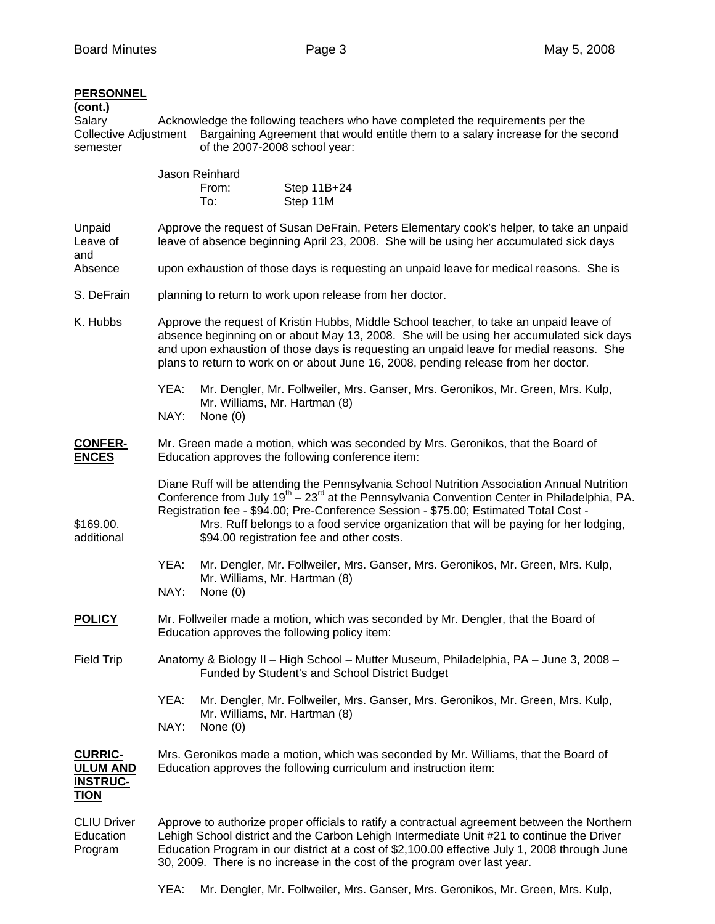## **PERSONNEL**

| <b>PERSONNEL</b><br>(cont.)<br>Salary<br><b>Collective Adjustment</b><br>semester | Acknowledge the following teachers who have completed the requirements per the<br>Bargaining Agreement that would entitle them to a salary increase for the second<br>of the 2007-2008 school year:                                                                                                                                                                                                                                              |                                                                                                                  |                                                                                 |  |  |  |  |
|-----------------------------------------------------------------------------------|--------------------------------------------------------------------------------------------------------------------------------------------------------------------------------------------------------------------------------------------------------------------------------------------------------------------------------------------------------------------------------------------------------------------------------------------------|------------------------------------------------------------------------------------------------------------------|---------------------------------------------------------------------------------|--|--|--|--|
|                                                                                   |                                                                                                                                                                                                                                                                                                                                                                                                                                                  | Jason Reinhard<br>From:<br>To:                                                                                   | Step 11B+24<br>Step 11M                                                         |  |  |  |  |
| Unpaid<br>Leave of<br>and                                                         | Approve the request of Susan DeFrain, Peters Elementary cook's helper, to take an unpaid<br>leave of absence beginning April 23, 2008. She will be using her accumulated sick days<br>upon exhaustion of those days is requesting an unpaid leave for medical reasons. She is                                                                                                                                                                    |                                                                                                                  |                                                                                 |  |  |  |  |
| Absence                                                                           |                                                                                                                                                                                                                                                                                                                                                                                                                                                  |                                                                                                                  |                                                                                 |  |  |  |  |
| S. DeFrain                                                                        | planning to return to work upon release from her doctor.                                                                                                                                                                                                                                                                                                                                                                                         |                                                                                                                  |                                                                                 |  |  |  |  |
| K. Hubbs                                                                          | Approve the request of Kristin Hubbs, Middle School teacher, to take an unpaid leave of<br>absence beginning on or about May 13, 2008. She will be using her accumulated sick days<br>and upon exhaustion of those days is requesting an unpaid leave for medial reasons. She<br>plans to return to work on or about June 16, 2008, pending release from her doctor.                                                                             |                                                                                                                  |                                                                                 |  |  |  |  |
|                                                                                   | YEA:                                                                                                                                                                                                                                                                                                                                                                                                                                             | Mr. Dengler, Mr. Follweiler, Mrs. Ganser, Mrs. Geronikos, Mr. Green, Mrs. Kulp,<br>Mr. Williams, Mr. Hartman (8) |                                                                                 |  |  |  |  |
|                                                                                   | NAY:                                                                                                                                                                                                                                                                                                                                                                                                                                             | None $(0)$                                                                                                       |                                                                                 |  |  |  |  |
| <b>CONFER-</b><br><b>ENCES</b>                                                    | Mr. Green made a motion, which was seconded by Mrs. Geronikos, that the Board of<br>Education approves the following conference item:                                                                                                                                                                                                                                                                                                            |                                                                                                                  |                                                                                 |  |  |  |  |
| \$169.00.<br>additional                                                           | Diane Ruff will be attending the Pennsylvania School Nutrition Association Annual Nutrition<br>Conference from July 19 <sup>th</sup> – 23 <sup>rd</sup> at the Pennsylvania Convention Center in Philadelphia, PA.<br>Registration fee - \$94.00; Pre-Conference Session - \$75.00; Estimated Total Cost -<br>Mrs. Ruff belongs to a food service organization that will be paying for her lodging,<br>\$94.00 registration fee and other costs. |                                                                                                                  |                                                                                 |  |  |  |  |
|                                                                                   | YEA:<br>Mr. Dengler, Mr. Follweiler, Mrs. Ganser, Mrs. Geronikos, Mr. Green, Mrs. Kulp,<br>Mr. Williams, Mr. Hartman (8)<br>NAY:<br>None $(0)$                                                                                                                                                                                                                                                                                                   |                                                                                                                  |                                                                                 |  |  |  |  |
| <u>POLICY</u>                                                                     | Mr. Follweiler made a motion, which was seconded by Mr. Dengler, that the Board of<br>Education approves the following policy item:                                                                                                                                                                                                                                                                                                              |                                                                                                                  |                                                                                 |  |  |  |  |
| <b>Field Trip</b>                                                                 | Anatomy & Biology II - High School - Mutter Museum, Philadelphia, PA - June 3, 2008 -<br>Funded by Student's and School District Budget                                                                                                                                                                                                                                                                                                          |                                                                                                                  |                                                                                 |  |  |  |  |
|                                                                                   | YEA:<br>NAY:                                                                                                                                                                                                                                                                                                                                                                                                                                     | Mr. Williams, Mr. Hartman (8)<br>None $(0)$                                                                      | Mr. Dengler, Mr. Follweiler, Mrs. Ganser, Mrs. Geronikos, Mr. Green, Mrs. Kulp, |  |  |  |  |
| <b>CURRIC-</b><br><b>ULUM AND</b><br><b>INSTRUC-</b><br><b>TION</b>               | Mrs. Geronikos made a motion, which was seconded by Mr. Williams, that the Board of<br>Education approves the following curriculum and instruction item:                                                                                                                                                                                                                                                                                         |                                                                                                                  |                                                                                 |  |  |  |  |
| <b>CLIU Driver</b><br>Education<br>Program                                        | Approve to authorize proper officials to ratify a contractual agreement between the Northern<br>Lehigh School district and the Carbon Lehigh Intermediate Unit #21 to continue the Driver<br>Education Program in our district at a cost of \$2,100.00 effective July 1, 2008 through June                                                                                                                                                       |                                                                                                                  |                                                                                 |  |  |  |  |

YEA: Mr. Dengler, Mr. Follweiler, Mrs. Ganser, Mrs. Geronikos, Mr. Green, Mrs. Kulp,

30, 2009. There is no increase in the cost of the program over last year.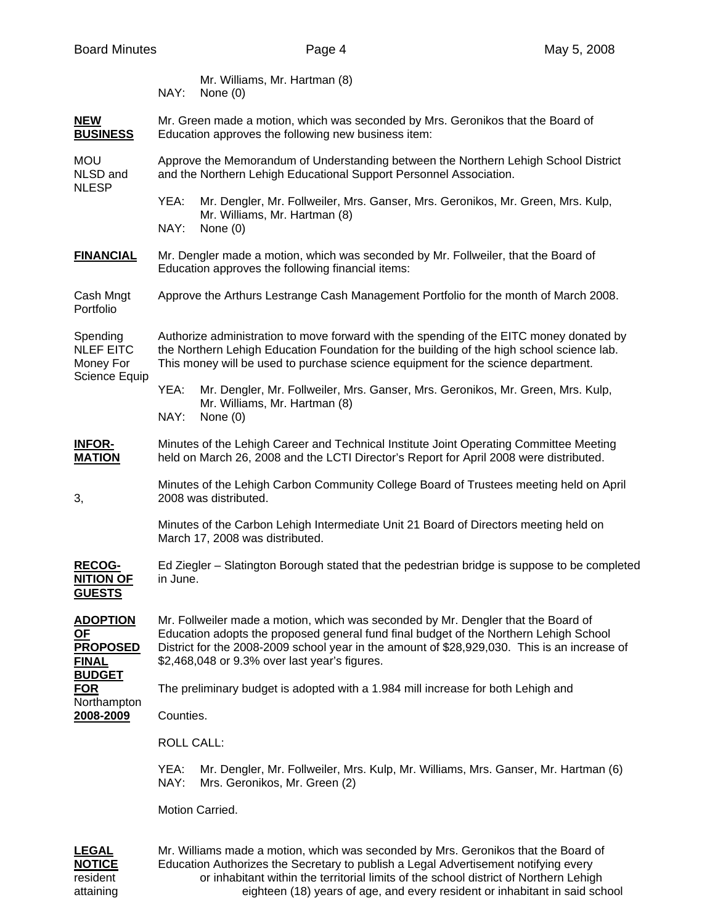| Mr. Williams, Mr. Hartman (8) |
|-------------------------------|
| NAY: None (0)                 |

## **NEW** Mr. Green made a motion, which was seconded by Mrs. Geronikos that the Board of **BUSINESS** Education approves the following new business item:

MOU Approve the Memorandum of Understanding between the Northern Lehigh School District NLSD and and the Northern Lehigh Educational Support Personnel Association. NLESP

- YEA: Mr. Dengler, Mr. Follweiler, Mrs. Ganser, Mrs. Geronikos, Mr. Green, Mrs. Kulp, Mr. Williams, Mr. Hartman (8) NAY: None (0)
- **FINANCIAL** Mr. Dengler made a motion, which was seconded by Mr. Follweiler, that the Board of Education approves the following financial items:
- Cash Mngt Approve the Arthurs Lestrange Cash Management Portfolio for the month of March 2008. Portfolio

Spending Authorize administration to move forward with the spending of the EITC money donated by NLEF EITC the Northern Lehigh Education Foundation for the building of the high school science lab. Money For This money will be used to purchase science equipment for the science department. Science Equip

- YEA: Mr. Dengler, Mr. Follweiler, Mrs. Ganser, Mrs. Geronikos, Mr. Green, Mrs. Kulp, Mr. Williams, Mr. Hartman (8) NAY: None (0)
- **INFOR-** Minutes of the Lehigh Career and Technical Institute Joint Operating Committee Meeting **MATION** held on March 26, 2008 and the LCTI Director's Report for April 2008 were distributed.
- Minutes of the Lehigh Carbon Community College Board of Trustees meeting held on April 3, 2008 was distributed.

 Minutes of the Carbon Lehigh Intermediate Unit 21 Board of Directors meeting held on March 17, 2008 was distributed.

**RECOG-** Ed Ziegler – Slatington Borough stated that the pedestrian bridge is suppose to be completed **NITION OF** in June. **GUESTS**

**ADOPTION** Mr. Follweiler made a motion, which was seconded by Mr. Dengler that the Board of **OF** Education adopts the proposed general fund final budget of the Northern Lehigh School **PROPOSED** District for the 2008-2009 school year in the amount of \$28,929,030. This is an increase of **FINAL** \$2,468,048 or 9.3% over last year's figures.

**BUDGET FOR** The preliminary budget is adopted with a 1.984 mill increase for both Lehigh and Northampton

**2008-2009** Counties.

ROLL CALL:

YEA: Mr. Dengler, Mr. Follweiler, Mrs. Kulp, Mr. Williams, Mrs. Ganser, Mr. Hartman (6) NAY: Mrs. Geronikos, Mr. Green (2)

Motion Carried.

**LEGAL** Mr. Williams made a motion, which was seconded by Mrs. Geronikos that the Board of **NOTICE** Education Authorizes the Secretary to publish a Legal Advertisement notifying every resident or inhabitant within the territorial limits of the school district of Northern Lehigh attaining eighteen (18) years of age, and every resident or inhabitant in said school